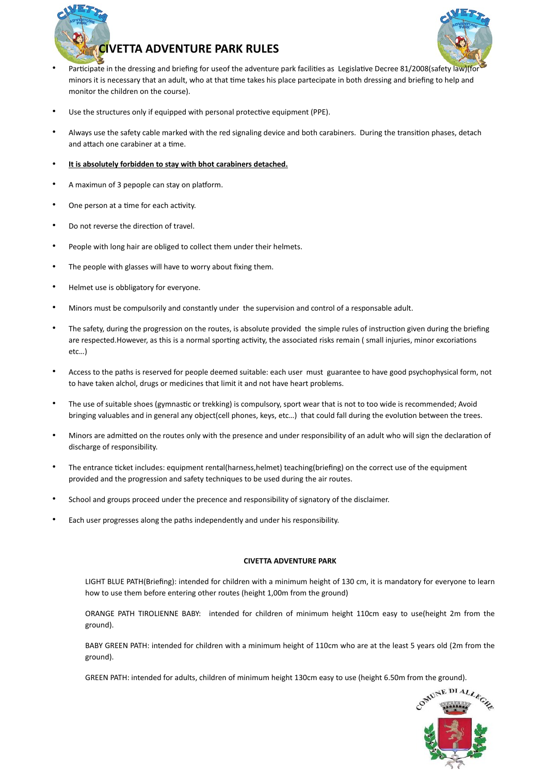

## **CIVETTA ADVENTURE PARK RULES**



- Participate in the dressing and briefing for useof the adventure park facilities as Legislative Decree 81/2008(safety law)(for minors it is necessary that an adult, who at that time takes his place partecipate in both dressing and briefing to help and monitor the children on the course).
- Use the structures only if equipped with personal protective equipment (PPE).
- Always use the safety cable marked with the red signaling device and both carabiners. During the transition phases, detach and attach one carabiner at a time.
- **It is absolutely forbidden to stay with bhot carabiners detached.**
- A maximun of 3 pepople can stay on platform.
- One person at a time for each activity.
- Do not reverse the direction of travel.
- People with long hair are obliged to collect them under their helmets.
- The people with glasses will have to worry about fixing them.
- Helmet use is obbligatory for everyone.
- Minors must be compulsorily and constantly under the supervision and control of a responsable adult.
- The safety, during the progression on the routes, is absolute provided the simple rules of instruction given during the briefing are respected.However, as this is a normal sporting activity, the associated risks remain ( small injuries, minor excoriations etc…)
- Access to the paths is reserved for people deemed suitable: each user must guarantee to have good psychophysical form, not to have taken alchol, drugs or medicines that limit it and not have heart problems.
- The use of suitable shoes (gymnastic or trekking) is compulsory, sport wear that is not to too wide is recommended; Avoid bringing valuables and in general any object(cell phones, keys, etc...) that could fall during the evolution between the trees.
- Minors are admitted on the routes only with the presence and under responsibility of an adult who will sign the declaration of discharge of responsibility.
- The entrance ticket includes: equipment rental(harness,helmet) teaching(briefing) on the correct use of the equipment provided and the progression and safety techniques to be used during the air routes.
- School and groups proceed under the precence and responsibility of signatory of the disclaimer.
- Each user progresses along the paths independently and under his responsibility.

## **CIVETTA ADVENTURE PARK**

LIGHT BLUE PATH(Briefing): intended for children with a minimum height of 130 cm, it is mandatory for everyone to learn how to use them before entering other routes (height 1,00m from the ground)

ORANGE PATH TIROLIENNE BABY: intended for children of minimum height 110cm easy to use(height 2m from the ground).

BABY GREEN PATH: intended for children with a minimum height of 110cm who are at the least 5 years old (2m from the ground).

GREEN PATH: intended for adults, children of minimum height 130cm easy to use (height 6.50m from the ground).